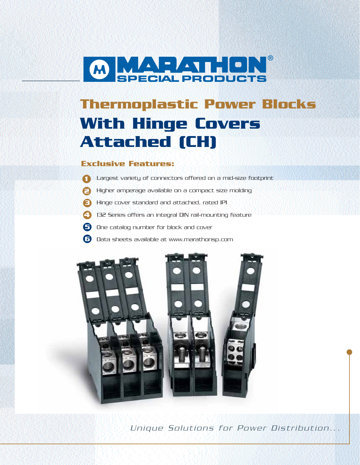

# **Thermoplastic Power Blocks With Hinge Covers Attached (CH)**

### **Exclusive Features:**

- Largest variety of connectors offered on a mid-size footprint **1**
- Higher amperage available on a compact size molding **2**
- Hinge cover standard and attached, rated IP1 **3**
- 132 Series offers an integral DIN rail-mounting feature **4**
- One catalog number for block and cover **5**
- Data sheets available at www.marathonsp.com **6**



Unique Solutions for Power Distribution...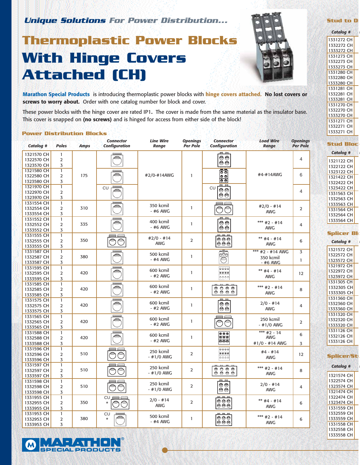**Unique Solutions For Power Distribution...**

## **Thermoplastic Power Blocks With Hinge Covers Attached (CH)**



**Marathon Special Products** is introducing thermoplastic power blocks with **hinge covers attached. No lost covers or screws to worry about.** Order with one catalog number for block and cover.

These power blocks with the hinge cover are rated IP1**.** The cover is made from the same material as the insulator base. This cover is snapped on **(no screws)** and is hinged for access from either side of the block!

#### **Power Distribution Blocks**

 $-7 - 9 = 1$ 

**ECIAL PRODUCTS** 

 $\bullet$ 

| Catalog #                | <b>Poles</b>                   | <b>Amps</b> | <b>Connector</b><br><b>Configuration</b> | <b>Line Wire</b><br>Range | <b>Openings</b><br><b>Per Pole</b> | <b>Connector</b><br><b>Configuration</b>                            | <b>Load Wire</b><br><b>Range</b> | <b>Openings</b><br><b>Per Pole</b> |
|--------------------------|--------------------------------|-------------|------------------------------------------|---------------------------|------------------------------------|---------------------------------------------------------------------|----------------------------------|------------------------------------|
| 1321570 CH<br>1322570 CH | $\mathbf{1}$<br>$\overline{2}$ |             |                                          |                           |                                    | 巴巴<br>$\Theta$<br>⊜⊜                                                |                                  | 4                                  |
| 1323570 CH               | 3                              |             |                                          |                           |                                    |                                                                     |                                  |                                    |
| 1321580 CH               | $\overline{1}$                 |             |                                          |                           |                                    | $\overline{55}$                                                     | #4-#14AWG                        | 6                                  |
| 1322580 CH               | $\overline{2}$                 | 175         |                                          | #2/0-#14AWG               | $\mathbf{1}$                       | $\frac{\circ}{\circ}$                                               |                                  |                                    |
| 1323580 CH               | 3                              |             |                                          |                           |                                    | <b>PR. PR.</b>                                                      |                                  |                                    |
| 1321970 CH               | $\mathbf{1}$                   |             | <b>CU</b>                                |                           |                                    | CU<br>$\Theta$ e                                                    |                                  |                                    |
| 1322970 CH               | $\overline{2}$                 |             |                                          |                           |                                    | $\bigcircledast$                                                    |                                  | 4                                  |
| 1323970 CH               | 3                              |             |                                          |                           |                                    |                                                                     |                                  |                                    |
| 1331554 CH               | 1                              |             |                                          | 350 kcmil                 |                                    |                                                                     | $#2/0 - #14$                     |                                    |
| 1332554 CH               | $\overline{2}$                 | 310         |                                          | $-$ #6 AWG                | 1                                  |                                                                     | <b>AWG</b>                       | 2                                  |
| 1333554 CH               | 3                              |             |                                          |                           |                                    |                                                                     |                                  |                                    |
| 1331552 CH               | $\mathbf{1}$                   |             |                                          | 400 kcmil                 |                                    | <b>P4 P4</b>                                                        | *** $#2 - #14$                   |                                    |
| 1332552 CH               | $\overline{2}$                 | 335         |                                          | - #6 AWG                  | 1                                  | $\Theta$                                                            |                                  | 4                                  |
| 1333552 CH               | 3                              |             |                                          |                           |                                    | OO                                                                  | AWG                              |                                    |
| 1331555 CH               | $\mathbf{1}$                   |             |                                          | $#2/0 - #14$              |                                    | pa pa pa                                                            |                                  |                                    |
| 1332555 CH               | $\overline{2}$                 | 350         |                                          | <b>AWG</b>                | $\overline{2}$                     | ⊜⊜⊜<br>⊖⊖⊖                                                          | ** $#4 - #14$                    | 6                                  |
| 1333555 CH               | 3                              |             |                                          |                           |                                    |                                                                     | <b>AWG</b>                       |                                    |
| 1331587 CH               | $\overline{1}$                 |             |                                          | 500 kcmil                 |                                    | eB<br>⊝⊝                                                            | *** #2 - #14 AWG                 | $\overline{3}$                     |
| 1332587 CH               | $\overline{2}$                 | 380         |                                          | $-$ #4 AWG                | 1                                  |                                                                     | 350 kcmil                        |                                    |
| 1333587 CH               | 3                              |             |                                          |                           |                                    |                                                                     | - #6 AWG                         | $\mathbf{1}$                       |
| 1331595 CH               | $\mathbf{1}$                   |             |                                          |                           |                                    | $\overline{\Theta}$ $\overline{\Theta}$ $\overline{\Theta}$         |                                  |                                    |
| 1332595 CH               | $\overline{2}$                 | 420         |                                          | 600 kcmil                 | 1                                  | 0000                                                                | $**$ #4 - #14                    | 12                                 |
| 1333595 CH               | 3                              |             |                                          | - #2 AWG                  |                                    | 0000                                                                | <b>AWG</b>                       |                                    |
| 1331585 CH               | $\mathbf{1}$                   |             |                                          |                           |                                    |                                                                     |                                  |                                    |
| 1332585 CH               | $\overline{2}$                 | 420         |                                          | 600 kcmil                 | $\mathbf{1}$                       |                                                                     | *** #2 - #14                     | 8                                  |
| 1333585 CH               | 3                              |             |                                          | - #2 AWG                  |                                    |                                                                     | <b>AWG</b>                       |                                    |
| 1331575 CH               | $\mathbf{1}$                   |             |                                          |                           |                                    | <b>P4 P4</b>                                                        |                                  |                                    |
| 1332575 CH               | $\overline{2}$                 | 420         |                                          | 600 kcmil                 | $\mathbf{1}$                       | $\Theta$                                                            | $2/0 - #14$                      | $\overline{4}$                     |
| 1333575 CH               | 3                              |             |                                          | $-$ #2 AWG                |                                    | ⊖⊜                                                                  | <b>AWG</b>                       |                                    |
| 1331565 CH               | $\mathbf{1}$                   |             |                                          |                           |                                    |                                                                     |                                  |                                    |
| 1332565 CH               | $\overline{2}$                 | 420         |                                          | 600 kcmil                 | $\mathbf{1}$                       |                                                                     | 250 kcmil                        | $\overline{2}$                     |
| 1333565 CH               | 3                              |             |                                          | $-$ #2 AWG                |                                    |                                                                     | - #1/0 AWG                       |                                    |
| 1331588 CH               | 1                              |             |                                          |                           |                                    | 000                                                                 | *** #2 - 14                      |                                    |
| 1332588 CH               | $\overline{2}$                 | 420         |                                          | 600 kcmil                 | $\mathbf{1}$                       | eee                                                                 | <b>AWG</b>                       | 6                                  |
| 1333588 CH               | 3                              |             |                                          | $-$ #2 AWG                |                                    | eee                                                                 | #1/0 - #14 AWG                   | 3                                  |
| 1331596 CH               | $\mathbf{1}$                   |             |                                          |                           |                                    | 0000                                                                |                                  |                                    |
| 1332596 CH               | 2                              | 510         |                                          | 250 kcmil                 | $\overline{2}$                     | 9696                                                                | $#4 - #14$                       | 12                                 |
| 1333596 CH               | 3                              |             |                                          | $-$ #1/0 AWG              |                                    | ೧೧೧೦                                                                | <b>AWG</b>                       |                                    |
| 1331597 CH               | $\mathbf{1}$                   |             |                                          |                           |                                    | $\blacksquare$<br><b>PH</b>                                         |                                  |                                    |
| 1332597 CH               | $\overline{2}$                 | 510         |                                          | 250 kcmil                 | 2                                  | $\begin{array}{c} 0.0000 \\ 0.0000 \\ 0.0000 \\ \hline \end{array}$ | *** $#2 - #14$                   | 8                                  |
| 1333597 CH               | 3                              |             |                                          | $-$ #1/0 AWG              |                                    |                                                                     | <b>AWG</b>                       |                                    |
| 1331598 CH               | $\mathbf{1}$                   |             |                                          |                           |                                    | <b>P4 P4</b>                                                        |                                  |                                    |
| 1332598 CH               | $\overline{2}$                 | 510         |                                          | 250 kcmil                 | $\overline{2}$                     | OO                                                                  | $2/0 - #14$                      | 4                                  |
| 1333598 CH               | 3                              |             |                                          | $-$ #1/0 AWG              |                                    | $\mathrel{\mathrel{\circ}\!}\mathrel{\mathrel{\circ}\!}$            | <b>AWG</b>                       |                                    |
| 1331955 CH               | $\mathbf{1}$                   |             | CU                                       |                           |                                    | pg pg pg                                                            |                                  |                                    |
| 1332955 CH               | $\overline{2}$                 | 350         |                                          | $2/0 - #14$               | $\overline{2}$                     | ⊜⊜⊜                                                                 | $**$ #4 - #14                    | 6                                  |
|                          | 3                              |             |                                          | <b>AWG</b>                |                                    | 오오오                                                                 | <b>AWG</b>                       |                                    |
| 1333955 CH               | $\mathbf{1}$                   |             |                                          |                           |                                    | $\mu$ $\mu$ $\mu$                                                   |                                  |                                    |
| 1331953 CH<br>1332953 CH | $\overline{2}$                 | 380         | <b>CU</b><br>$\star$                     | 500 kcmil                 | 1                                  | ⊜⊜⊜                                                                 | *** #2 - #14                     |                                    |
| 1333953 CH               | 3                              |             |                                          | $-$ #4 AWG                |                                    | 卓용용                                                                 | <b>AWG</b>                       | 6                                  |
|                          |                                |             |                                          |                           |                                    |                                                                     |                                  |                                    |



| <b>Catalog #</b> |
|------------------|
| 1331272 CH       |
| 1332272 CH       |
| 1333272 CH       |
| 1331273 CH       |
| 1332273 CH       |
| 1333273 CH       |
| 1331280 CH       |
| 1332280 CH       |
| 1333280 CH       |
| 1331281 CH       |
| 1332281 CH       |
| 1333281 CH       |
| 1331270 CH       |
| 1332270 CH       |
| 1333270 CH       |
| 1331271 CH       |
| 1332271 CH       |
| 1333271 CH       |
|                  |

#### **Stud Block**

| Catalog #  |  |
|------------|--|
| 1321122 CH |  |
| 1322122 CH |  |
| 1323122 CH |  |
| 1321422 CH |  |
| 1322422 CH |  |
| 1323422 CH |  |
| 1331563 CH |  |
| 1332563 CH |  |
| 1333563 CH |  |
| 1331564 CH |  |
| 1332564 CH |  |
| 1333564 CH |  |

### **Splicer Bl**

| Catalog #  |  |
|------------|--|
| 1321572 CH |  |
| 1322572 CH |  |
| 1323572 CH |  |
| 1321972 CH |  |
| 1322972 CH |  |
| 1323972 CH |  |
| 1331305 CH |  |
| 1332305 CH |  |
| 1333305 CH |  |
| 1331360 CH |  |
| 1332360 CH |  |
| 1333360 CH |  |
| 1331320 CH |  |
| 1332320 CH |  |
| 1333320 CH |  |
| 1331126 CH |  |
| 1332126 CH |  |
| 1333126 CH |  |
|            |  |

## **Splicer/Stu**

## Catalog #

1321574 CH 1322574 CH 1323574 CH 1321474 CH 1322474 CH 1323474 CH 1331559 CH 1332559 CH 1333559 CH 1331558 CH 1332558 CH 1333558 CH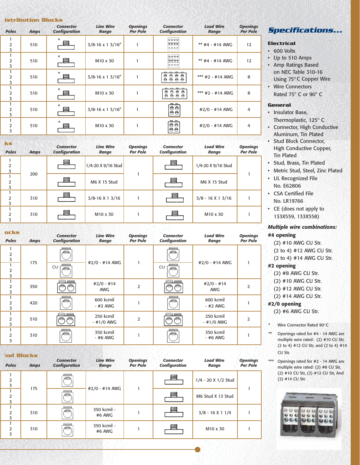| <b>istribution Blocks</b>           |             |                                          |                                  |                                    |                                                                                            |                           |                                    |  |  |
|-------------------------------------|-------------|------------------------------------------|----------------------------------|------------------------------------|--------------------------------------------------------------------------------------------|---------------------------|------------------------------------|--|--|
| <b>Poles</b>                        | <b>Amps</b> | <b>Connector</b><br><b>Configuration</b> | <b>Line Wire</b><br><b>Range</b> | <b>Openings</b><br><b>Per Pole</b> | <b>Connector</b><br><b>Configuration</b>                                                   | <b>Load Wire</b><br>Range | <b>Openings</b><br><b>Per Pole</b> |  |  |
| 1<br>$\overline{2}$<br>3            | 510         | $\star$                                  | $3/8 - 16 \times 1 \frac{3}{16}$ |                                    | 9999<br>8000<br> 0000                                                                      | $**$ #4 - #14 AWG         | 12                                 |  |  |
| 1<br>$\overline{2}$<br>3            | 510         | $\star$<br>ᆯ                             | M10 x 30                         |                                    | ⊖⊖⊖⊖ <br>8888<br>looool                                                                    | $**$ #4 - #14 AWG         | 12                                 |  |  |
| 1<br>$\overline{2}$<br>3            | 510         | $\star$<br>Ħ                             | $3/8 - 16 \times 1 \frac{3}{16}$ |                                    | 0000<br>0 0 0 0                                                                            | *** $#2 - #14$ AWG        | 8                                  |  |  |
| 1<br>$\overline{2}$<br>3            | 510         | $\star$                                  | M10 x 30                         |                                    | $\begin{array}{c c} \circ & \bullet & \bullet \\ \circ & \bullet & \bullet \\ \end{array}$ | *** #2 - #14 AWG          | 8                                  |  |  |
| $\mathbf{1}$<br>$\overline{2}$<br>3 | 510         | $\ast$                                   | $3/8 - 16 \times 1 \frac{3}{16}$ |                                    | $\frac{m}{\Theta\Theta}$<br>$\left  \vphantom{\phi}\right $                                | #2/0 - #14 AWG            | 4                                  |  |  |
| 1<br>$\overline{2}$<br>3            | 510         | $\star$                                  | M <sub>10</sub> x 30             |                                    | 四四<br>$\Theta$<br>$\Theta$<br>Θĕ                                                           | #2/0 - #14 AWG            | 4                                  |  |  |
|                                     |             |                                          |                                  |                                    |                                                                                            |                           |                                    |  |  |

| ks<br><b>Poles</b>  | <b>Amps</b> | <b>Connector</b><br><b>Configuration</b> | <b>Line Wire</b><br>Range | <b>Openings</b><br><b>Per Pole</b> | <b>Connector</b><br><b>Configuration</b> | <b>Load Wire</b><br>Range | <b>Openings</b><br><b>Per Pole</b> |
|---------------------|-------------|------------------------------------------|---------------------------|------------------------------------|------------------------------------------|---------------------------|------------------------------------|
| $\overline{2}$<br>3 |             |                                          | 1/4-20 X 9/16 Stud        |                                    |                                          | 1/4-20 X 9/16 Stud        |                                    |
| $\overline{2}$<br>3 | 200         |                                          | M6 X 15 Stud              |                                    |                                          | M6 X 15 Stud              |                                    |
| $\overline{2}$<br>3 | 310         |                                          | $3/8 - 16X13/16$          |                                    | 昌                                        | $3/8 - 16X13/16$          |                                    |
| $\mathcal{P}$<br>3  | 310         |                                          | M <sub>10</sub> x 30      |                                    |                                          | M <sub>10</sub> x 30      |                                    |

| ocks<br><b>Poles</b>     | <b>Amps</b> | <b>Connector</b><br><b>Configuration</b> | <b>Line Wire</b><br>Range  | <b>Openings</b><br><b>Per Pole</b> | <b>Connector</b><br><b>Configuration</b> | <b>Load Wire</b><br>Range  | <b>Openings</b><br><b>Per Pole</b> |  |  |
|--------------------------|-------------|------------------------------------------|----------------------------|------------------------------------|------------------------------------------|----------------------------|------------------------------------|--|--|
| $\overline{2}$<br>3      |             |                                          |                            |                                    |                                          |                            |                                    |  |  |
| 1<br>$\overline{2}$<br>3 | 175         | CU<br>e                                  | #2/0 - #14 AWG             |                                    | <b>CU</b>                                | #2/0 - #14 AWG             | 1                                  |  |  |
| 2<br>3                   | 350         |                                          | $#2/0 - #14$<br><b>AWG</b> | $\overline{2}$                     |                                          | $#2/0 - #14$<br><b>AWG</b> | 2                                  |  |  |
| $\overline{2}$<br>3      | 420         | e                                        | 600 kcmil<br>$-$ #2 AWG    |                                    |                                          | 600 kcmil<br>$-$ #2 AWG    |                                    |  |  |
| $\overline{2}$<br>3      | 510         |                                          | 250 kcmil<br>$-$ #1/0 AWG  | $\overline{2}$                     |                                          | 250 kcmil<br>$-$ #1/0 AWG  | 2                                  |  |  |
| 2<br>3                   | 310         |                                          | 350 kcmil<br>- #6 AWG      |                                    |                                          | 350 kcmil<br>- #6 AWG      |                                    |  |  |

| <b>Jud Blocks</b>   |             |                                          |                           |                                    |                                          |                           |                                    |
|---------------------|-------------|------------------------------------------|---------------------------|------------------------------------|------------------------------------------|---------------------------|------------------------------------|
| <b>Poles</b>        | <b>Amps</b> | <b>Connector</b><br><b>Configuration</b> | <b>Line Wire</b><br>Range | <b>Openings</b><br><b>Per Pole</b> | <b>Connector</b><br><b>Configuration</b> | <b>Load Wire</b><br>Range | <b>Openings</b><br><b>Per Pole</b> |
| $\overline{2}$<br>3 |             |                                          |                           |                                    | ≡                                        | 1/4 - 20 X 1/2 Stud       |                                    |
| $\overline{2}$<br>3 | 175         |                                          | #2/0 - #14 AWG            |                                    | 巪                                        | M6 Stud X 13 Stud         |                                    |
| $\mathcal{P}$<br>3  | 310         |                                          | 350 kcmil -<br>#6 AWG     |                                    | 5                                        | $3/8 - 16X11/4$           |                                    |
| $\overline{2}$<br>3 | 310         |                                          | 350 kcmil -<br>#6 AWG     |                                    |                                          | M <sub>10</sub> x 30      |                                    |
|                     |             |                                          |                           |                                    |                                          |                           |                                    |

## **Specifications...**

- **Electrical**
- 600 Volts
- Up to 510 Amps
- Amp Ratings Based on NEC Table 310-16 Using 75°C Copper Wire
- Wire Connectors
- Rated  $75^\circ$  C or 90 $^\circ$  C

### **General**

- Insulator Base,
- Thermoplastic, 125° C
- Connector, High Conductive Aluminum, Tin Plated
- **Stud Block Connector,** High Conductive Copper, Tin Plated
- Stud, Brass, Tin Plated
- Metric Stud, Steel, Zinc Plated
- UL Recognized File No. E62806
- CSA Certified File
- No. LR19766
- CE (does not apply to 133X559, 133X558)

#### *Multiple wire combinations:*

#### **#4 opening**

- (2) #10 AWG CU Str.
- (2 to 4) #12 AWG CU Str.
- (2 to 4) #14 AWG CU Str.

### **#2 opening**

- (2) #8 AWG CU Str.
- (2) #10 AWG CU Str.
- (2) #12 AWG CU Str.
- (2) #14 AWG CU Str.

## **#2/0 opening**

- (2) #6 AWG CU Str.
- Wire Connector Rated 90°C
- Openings rated for #4 14 AWG are multiple wire rated: (2) #10 CU Str, (2 to 4) #12 CU Str, and (2 to 4) #14 CU Str.
- \*\*\* Openings rated for #2 14 AWG are multiple wire rated: (2) #8 CU Str, (2) #10 CU Str, (2) #12 CU Str, And (2) #14 CU Str.